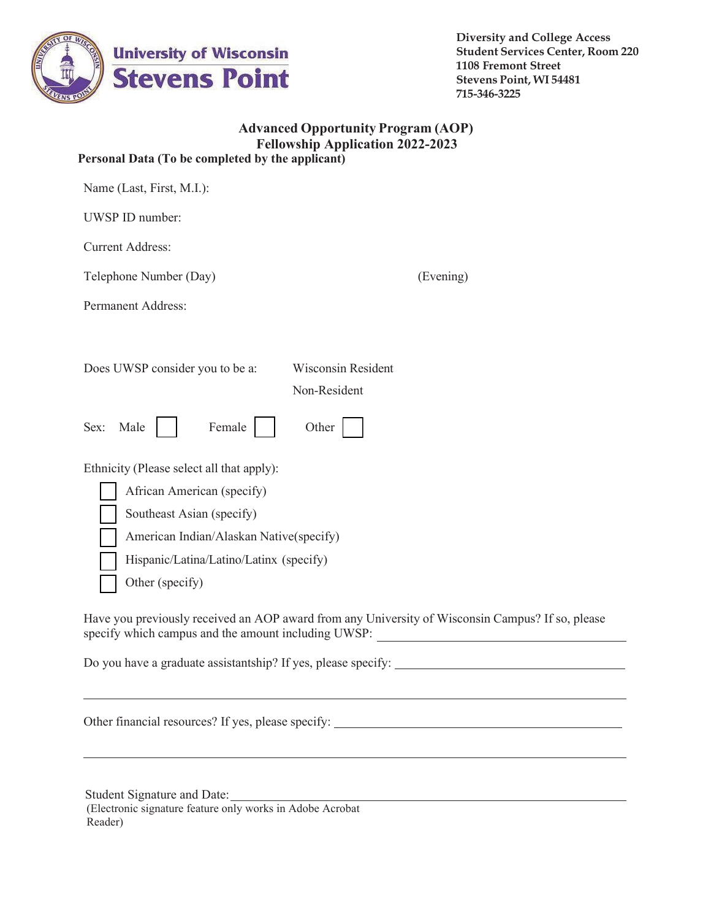

**Diversity and College Access Student Services Center, Room 220 1108 Fremont Street Stevens Point, WI 54481 715-346-3225**

### **Advanced Opportunity Program (AOP) Fellowship Application 2022-2023 Personal Data (To be completed by the applicant)**

| Name (Last, First, M.I.):                                                                                                                                                                                     |  |  |  |  |
|---------------------------------------------------------------------------------------------------------------------------------------------------------------------------------------------------------------|--|--|--|--|
| UWSP ID number:                                                                                                                                                                                               |  |  |  |  |
| <b>Current Address:</b>                                                                                                                                                                                       |  |  |  |  |
| Telephone Number (Day)<br>(Evening)                                                                                                                                                                           |  |  |  |  |
| <b>Permanent Address:</b>                                                                                                                                                                                     |  |  |  |  |
| <b>Wisconsin Resident</b><br>Does UWSP consider you to be a:<br>Non-Resident<br>Other                                                                                                                         |  |  |  |  |
| Female<br>Male<br>Sex:                                                                                                                                                                                        |  |  |  |  |
| Ethnicity (Please select all that apply):<br>African American (specify)<br>Southeast Asian (specify)<br>American Indian/Alaskan Native(specify)<br>Hispanic/Latina/Latino/Latinx (specify)<br>Other (specify) |  |  |  |  |
| Have you previously received an AOP award from any University of Wisconsin Campus? If so, please<br>specify which campus and the amount including UWSP:<br><u> 1980 - Johann Barbara, martxa alemaniar a</u>  |  |  |  |  |
| Do you have a graduate assistantship? If yes, please specify:                                                                                                                                                 |  |  |  |  |
|                                                                                                                                                                                                               |  |  |  |  |

Student Signature and Date: (Electronic signature feature only works in Adobe Acrobat Reader)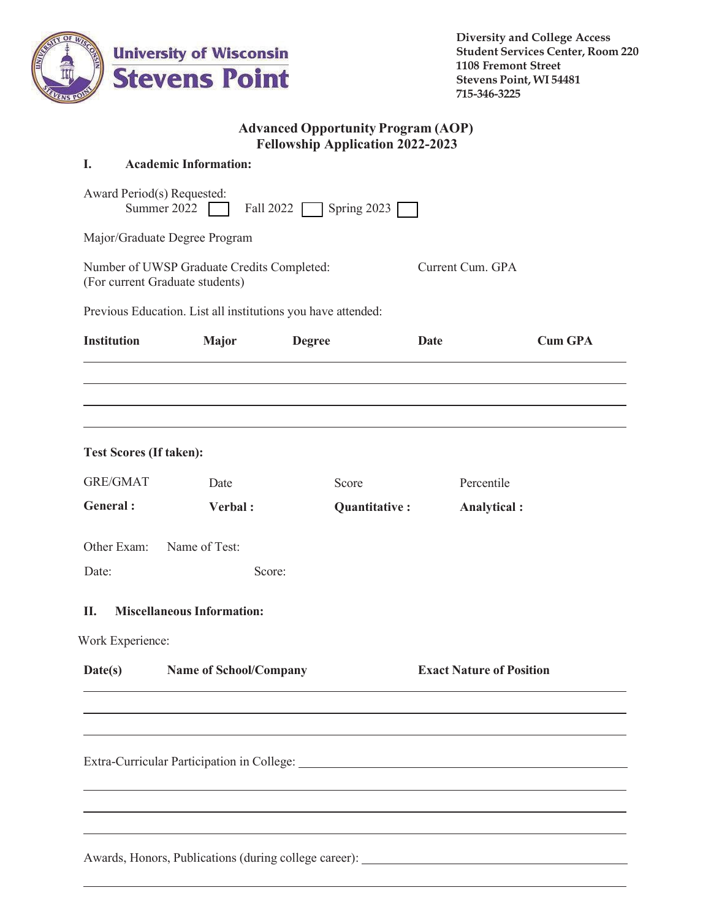

## **Advanced Opportunity Program (AOP) Fellowship Application 2022-2023**

#### **I. Academic Information:**

|                                                                               |                                   |                                                              | Spring $2023$                   |                |  |
|-------------------------------------------------------------------------------|-----------------------------------|--------------------------------------------------------------|---------------------------------|----------------|--|
| Major/Graduate Degree Program                                                 |                                   |                                                              |                                 |                |  |
| Number of UWSP Graduate Credits Completed:<br>(For current Graduate students) |                                   |                                                              | Current Cum. GPA                |                |  |
|                                                                               |                                   | Previous Education. List all institutions you have attended: |                                 |                |  |
| <b>Institution</b>                                                            | <b>Major</b>                      | <b>Degree</b>                                                | <b>Date</b>                     | <b>Cum GPA</b> |  |
|                                                                               |                                   |                                                              |                                 |                |  |
| <b>Test Scores (If taken):</b>                                                |                                   |                                                              |                                 |                |  |
| <b>GRE/GMAT</b>                                                               | Date                              | Score                                                        | Percentile                      |                |  |
| General:                                                                      | Verbal:                           | Quantitative:                                                |                                 | Analytical :   |  |
| Other Exam:                                                                   | Name of Test:                     |                                                              |                                 |                |  |
| Date:                                                                         |                                   | Score:                                                       |                                 |                |  |
| П.                                                                            | <b>Miscellaneous Information:</b> |                                                              |                                 |                |  |
| Work Experience:                                                              |                                   |                                                              |                                 |                |  |
| <b>Name of School/Company</b><br>Date(s)                                      |                                   |                                                              | <b>Exact Nature of Position</b> |                |  |
|                                                                               |                                   |                                                              |                                 |                |  |
|                                                                               |                                   |                                                              |                                 |                |  |
|                                                                               |                                   |                                                              |                                 |                |  |
|                                                                               |                                   |                                                              |                                 |                |  |
|                                                                               |                                   |                                                              |                                 |                |  |
| Awards, Honors, Publications (during college career):                         |                                   |                                                              |                                 |                |  |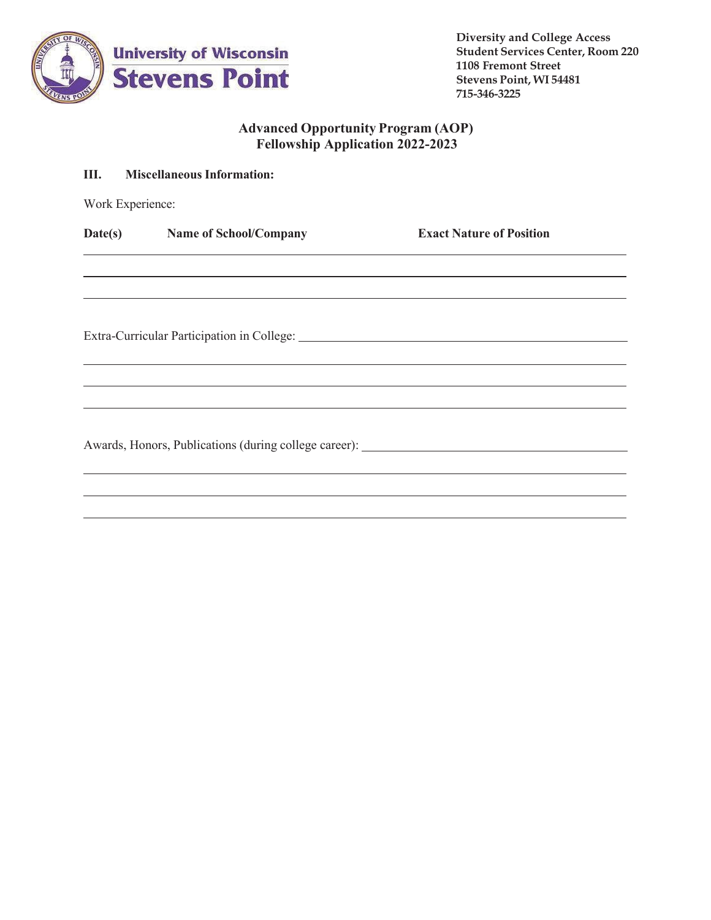

**Diversity and College Access Student Services Center, Room 220 1108 Fremont Street Stevens Point, WI 54481 715-346-3225**

# **Advanced Opportunity Program (AOP) Fellowship Application 2022-2023**

| Ш.               | <b>Miscellaneous Information:</b>                     |                                 |  |  |  |
|------------------|-------------------------------------------------------|---------------------------------|--|--|--|
| Work Experience: |                                                       |                                 |  |  |  |
|                  | Date(s) Name of School/Company                        | <b>Exact Nature of Position</b> |  |  |  |
|                  |                                                       |                                 |  |  |  |
|                  |                                                       |                                 |  |  |  |
|                  |                                                       |                                 |  |  |  |
|                  | Awards, Honors, Publications (during college career): |                                 |  |  |  |
|                  |                                                       |                                 |  |  |  |